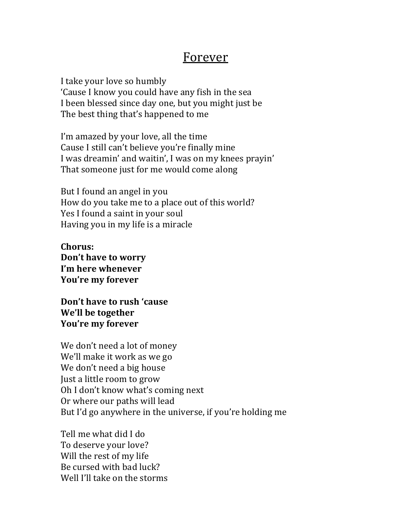## Forever

I take your love so humbly 'Cause I know you could have any fish in the sea I been blessed since day one, but you might just be The best thing that's happened to me

I'm amazed by your love, all the time Cause I still can't believe you're finally mine I was dreamin' and waitin', I was on my knees prayin' That someone just for me would come along

But I found an angel in you How do you take me to a place out of this world? Yes I found a saint in your soul Having you in my life is a miracle

**Chorus: Don't have to worry I'm here whenever You're my forever**

Don't have to rush 'cause **We'll be together** You're my forever

We don't need a lot of money We'll make it work as we go We don't need a big house Just a little room to grow Oh I don't know what's coming next Or where our paths will lead But I'd go anywhere in the universe, if you're holding me

Tell me what did I do To deserve your love? Will the rest of my life Be cursed with had luck? Well I'll take on the storms